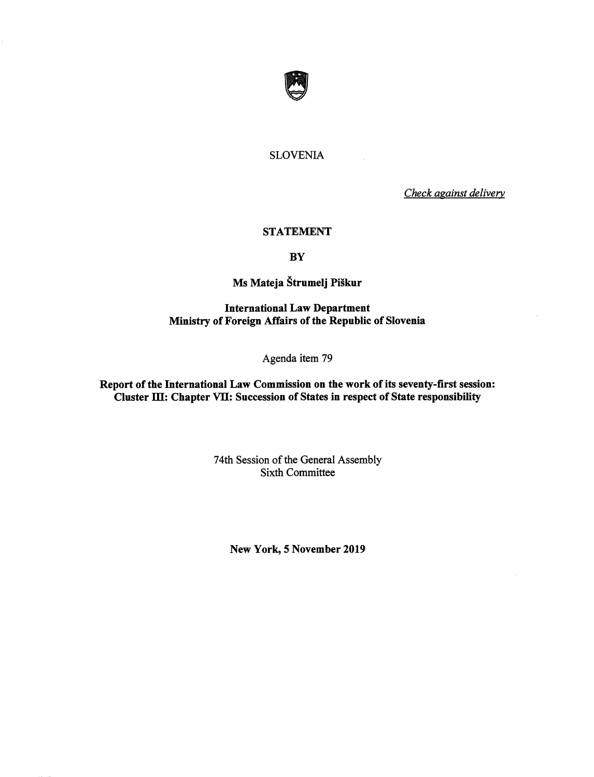

# SLOVENIA

Check against delivery

#### STATEMENT

**BY** 

# Ms Mateja §trumelj Pi§kur

## International Law Department Ministry of Foreign Affairs of the Republic of Slovenia

## Agenda item 79

Report of the International Law Commission on the work of its seventy-first session: Cluster III: Chapter VII: Succession of States in respect of State responsibility

> 74th Session of the General Assembly Sixth Committee

New York, 5 November 2019